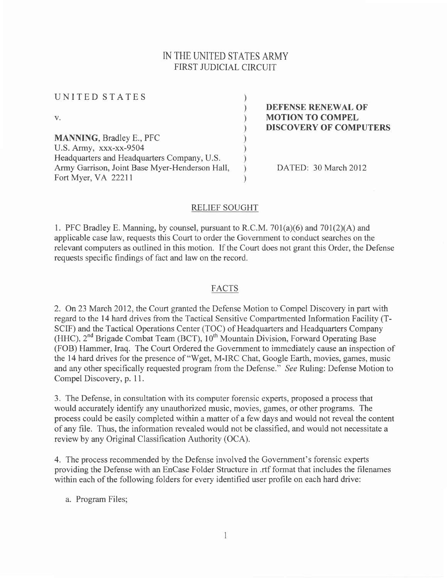# IN THE UNITED STATES ARMY FIRST JUDICIAL CIRCUIT

| UNITED STATES                                  |  |
|------------------------------------------------|--|
| $V_{\star}$<br><b>MANNING, Bradley E., PFC</b> |  |
|                                                |  |
|                                                |  |
| Headquarters and Headquarters Company, U.S.    |  |
| Army Garrison, Joint Base Myer-Henderson Hall, |  |
| Fort Myer, VA 22211                            |  |

DEFENSE RENEWAL OF MOTION TO COMPEL DISCOVERY OF COMPUTERS

DATED: 30 March 2012

### RELIEF SOUGHT

1. PFC Bradley E. Manning, by counsel, pursuant to R.C.M.  $701(a)(6)$  and  $701(2)(A)$  and applicable case law, requests this Court to order the Government to conduct searches on the relevant computers as outlined in this motion. If the Court does not grant this Order, the Defense requests specific findings of fact and law on the record.

### FACTS

2. On 23 March 2012, the Court granted the Defense Motion to Compel Discovery in part with regard to the l4 hard drives from the Tactical Sensitive Compartmented Information Facility (T-SCIF) and the Tactical Operations Center (TOC) of Headquarters and Headquarters Company (HHC),  $2^{nd}$  Brigade Combat Team (BCT),  $10^{th}$  Mountain Division, Forward Operating Base (FOB) Hammer, Iraq. The Court Ordered the Government to immediately cause an inspection of the 14 hard drives for the presence of "Wget, M-IRC Chat, Google Earth, movies, games, music and any other specifically requested program from the Defense." See Ruling: Defense Motion to Compel Discovery, p. 11.

3. The Defense, in consultation with its computer forensic experts, proposed a process that would accurately identify any unauthorized music, movies, games, or other programs. The process could be easily completed within a matter of a few days and would not reveal the content of any file. Thus, the information revealed would not be classified, and would not necessitate <sup>a</sup> review by any Original Classification Authority (OCA).

4. The process recommended by the Defense involved the Govemment's forensic experts providing the Defense with an EnCase Folder Structure in .rtf format that includes the filenames within each of the following folders for every identified user profile on each hard drive:

a. Program Files;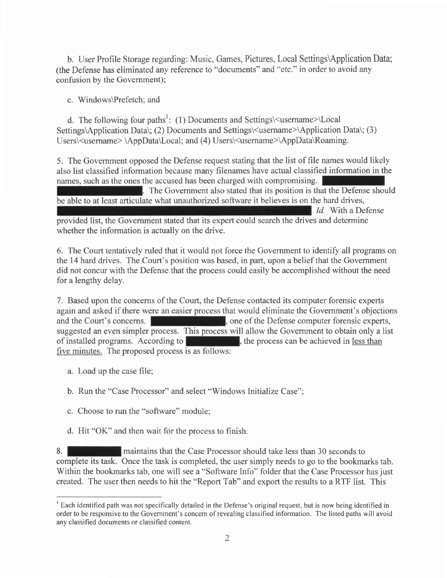b. User Profile Storage regarding: Music, Games, Pictures, Local Settings\Application Data; (the Defense has eliminated any reference to "documents" and "etc." in order to avoid any confusion by the Government);

c. Windows\Prefetch; and

d. The following four paths<sup>1</sup>: (1) Documents and Settings\<username>\Local Settings\Application Data\; (2) Documents and Settings\<username>\Application Data\; (3) Users\<username>\AppData\Local; and (4) Users\<username>\AppData\Roaming.

5. The Government opposed the Defense request stating that the list of file names would likely also list classified information because many filenames have actual classified information in the names, such as the ones the accused has been charged with compromising.

**Example 1**. The Government also stated that its position is that the Defense should be able to at least articulate what unauthorized software it believes is on the hard drives,

Id. With a Defense

provided list, the Government stated that its expert could search the drives and determine whether the information is actually on the drive.

6. The Court tentatively ruled that it would not force the Government to identify all programs on the l4 hard drives. The Court's position was based, in part, upon a belief that the Government did not concur with the Defense that the process could easily be accomplished without the need for a lengthy delay.

7. Based upon the concerns of the Court, the Defense contacted its computer forensic experts again and asked if there were an easier process that would eliminate the Government's objections and the Court's concerns. **The court of the Defense computer forensic experts,** suggested an even simpler process. This process will allow the Government to obtain only a list of installed programs. According to  $\blacksquare$ , the process can be achieved in <u>less than</u> five minutes. The proposed process is as follows:

- a. Load up the case file;
- b. Run the "Case Processor" and select "Windows Initialize Case":
- c. Choose to run the "software" module;
- d. Hit "OK" and then wait for the process to finish.

maintains that the Case Processor should take less than 30 seconds to complete its task. Once the task is completed, the user simply needs to go to the bookmarks tab. Within the bookmarks tab, one will see a "Software Info" folder that the Case Processor has just created. The user then needs to hit the "Report Tab" and export the results to a RTF list. This 8.

<sup>&</sup>lt;sup>I</sup> Each identified path was not specifically detailed in the Defense's original request, but is now being identified in order to be responsive to the Government's concem of revealing classified information. The listed paths will avoid any classified documents or classified content.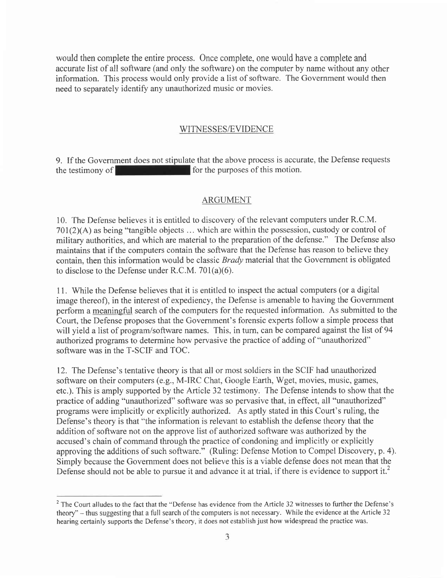would then complete the entire process. Once complete, one would have a complete and accurate list of all software (and only the software) on the computer by name without any other information. This process would only provide a list of software. The Government would then need to separately identify any unauthorized music or movies.

#### WITNESSES/EVIDENCE

9. If the Government does not stipulate that the above process is accurate, the Defense requests the testimony of  $\|\cdot\|$  for the purposes of this motion.

#### ARGUMENT

10. The Defense believes it is entitled to discovery of the relevant computers under R.C.M.  $701(2)(A)$  as being "tangible objects ... which are within the possession, custody or control of military authorities, and which are material to the preparation of the defense." The Defense also maintains that if the computers contain the software that the Defense has reason to believe they contain, then this information would be classic Brady material that the Government is obligated to disclose to the Defense under R.C.M.  $701(a)(6)$ .

<sup>1</sup>1. While the Defense believes that it is entitled to inspect the actual computers (or a digital image thereof), in the interest of expediency, the Defense is amenable to having the Government perform a meanineful search of the computers for the requested information. As submitted to the Court, the Defense proposes that the Government's forensic experts follow a simple process that will yield a list of program/software names. This, in turn, can be compared against the list of 94 authorized programs to determine how pervasive the practice of adding of "unauthorized" software was in the T-SCIF and TOC.

12. The Defense's tentative theory is that all or most soldiers in the SCIF had unauthorized software on their computers (e.g., M-IRC Chat, Google Earth, Wget, movies, music, games, etc.). This is amply supported by the Article 32 testimony. The Defense intends to show that the practice of adding "unauthorized" software was so pervasive that, in effect, all "unauthorized" programs were implicitly or explicitly authorized. As aptly stated in this Court's ruling, the Defense's theory is that "the information is relevant to establish the defense theory that the addition of software not on the approve list of authorized software was authorized by the accused's chain of command through the practice of condoning and implicitly or explicitly approving the additions of such software." (Ruling: Defense Motion to Compel Discovery, p. 4). Simply because the Government does not believe this is a viable defense does not mean that the Defense should not be able to pursue it and advance it at trial, if there is evidence to support it.<sup>2</sup>

<sup>&</sup>lt;sup>2</sup> The Court alludes to the fact that the "Defense has evidence from the Article 32 witnesses to further the Defense's theory" - thus suggesting that a full search of the computers is not necessary. While the evidence at the Article 32 hearing certainly supports the Defense's theory, it does not establish just how widespread the practice was.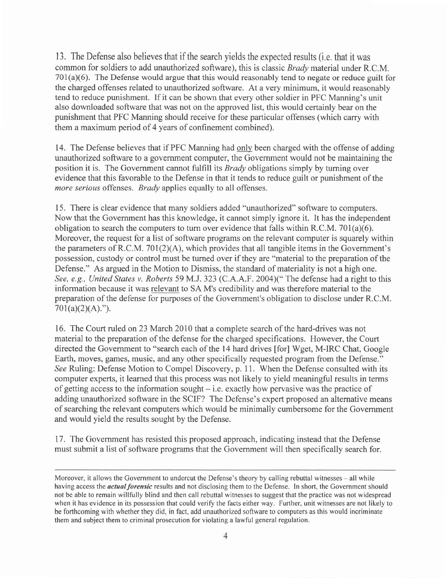13. The Defense also believes that if the search yields the expected results (i.e. that it was common for soldiers to add unauthorized software), this is classic *Brady* material under R.C.M.  $701(a)(6)$ . The Defense would argue that this would reasonably tend to negate or reduce guilt for the charged offenses related to unauthorized software. At a very minimum, it would reasonably tend to reduce punishment. If it can be shown that every other soldier in PFC Manning's unit also downloaded software that was not on the approved list, this would certainly bear on the punishment that PFC Manning should receive for these particular offenses (which carry with them a maximum period of 4 years of confinement combined).

14. The Defense believes that if PFC Manning had only been charged with the offense of adding unauthorized software to a government computer, the Government would not be maintaining the position it is. The Government cannot fulfill its Brady obligations simply by tuming over evidence that this favorable to the Defense in that it tends to reduce guilt or punishment of the more serious offenses. Brady applies equally to all offenses.

15. There is clear evidence that many soldiers added "unauthorized" software to computers. Now that the Government has this knowledge, it cannot simply ignore it. It has the independent obligation to search the computers to turn over evidence that falls within R.C.M. 701(a)(6). Moreover, the request for a list of software programs on the relevant computer is squarely within the parameters of R.C.M. 701(2)(A), which provides that all tangible items in the Government's possession, custody or control must be turned over if they are "material to the preparation of the Defense." As argued in the Motion to Dismiss, the standard of materiality is not a high one. See, e.g., United States v. Roberts 59 M.J. 323 (C.A.A.F. 2004)(" The defense had a right to this information because it was relevant to SA M's credibility and was therefore material to the preparation of the defense for purposes of the Government's obligation to disclose under R.C.M.  $701(a)(2)(A)$ .").

16. The Court ruled on 23 March 2010 that a complete search of the hard-drives was not material to the preparation of the defense for the charged specifications. However, the Court directed the Government to "search each of the l4 hard drives [for] Wget, M-IRC Chat, Google Earth, moves, games, music, and any other specifically requested program from the Defense." See Ruling: Defense Motion to Compel Discovery, p. 11. When the Defense consulted with its computer experts, it learned that this process was not likely to yield meaningful results in terms of getting access to the information sought  $-$  i.e. exactly how pervasive was the practice of adding unauthorized software in the SCIF? The Defense's expert proposed an alternative means of searching the relevant computers which would be minimally cumbersome for the Government and would yield the results sought by the Defense.

17. The Government has resisted this proposed approach, indicating instead that the Defense must submit a list of software programs that the Government will then specifically search for.

Moreover, it allows the Government to undercut the Defense's theory by calling rebuttal witnesses – all while having access the *actual forensic* results and not disclosing them to the Defense. In short, the Government should not be able to remain willfully blind and then call rebuttal witnesses to suggest that the practice was not widespread when it has evidence in its possession that could verify the facts either way. Further, unit witnesses are not likely to be forthcoming with whether they did, in fact, add unauthorized software to computers as this would incriminate them and subject them to criminal prosecution for violating a lawful general regulation.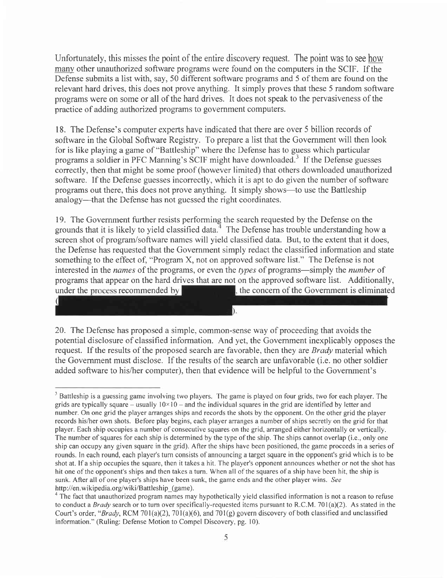Unfortunately, this misses the point of the entire discovery request. The point was to see how many other unauthorized software programs were found on the computers in the SCIF. If the Defense submits a list with, say, 50 different software programs and 5 of them are found on the relevant hard drives, this does not prove anything. It simply proves that these 5 random software programs were on some or all of the hard drives. It does not speak to the pervasiveness of the practice of adding authorized programs to government computers.

18. The Defense's computer experts have indicated that there are over 5 billion records of software in the Global Software Registry. To prepare a list that the Government will then look for is like playing a game of "Battleship" where the Defense has to guess which particular programs a soldier in PFC Manning's SCIF might have downloaded.<sup>3</sup> If the Defense guesses correctly, then that might be some proof (however limited) that others downloaded unauthorized software. If the Defense guesses incorrectly, which it is apt to do given the number of software programs out there, this does not prove anything. It simply shows-to use the Battleship analogy—that the Defense has not guessed the right coordinates.

19. The Government further resists performing the search requested by the Defense on the grounds that it is likely to yield classified data.<sup> $\frac{4}{1}$ </sup> The Defense has trouble understanding how a screen shot of program/software names will yield classified data. But, to the extent that it does, the Defense has requested that the Government simply redact the classified information and state something to the effect of, "Program X, not on approved software list." The Defense is not interested in the *names* of the programs, or even the *types* of programs—simply the *number* of programs that appear on the hard drives that are not on the approved software list. Additionally, under the process recommended by  $\|\cdot\|$ , the concern of the Government is eliminated

20. The Defense has proposed a simple, common-sense way of proceeding that avoids the potential disclosure of classified information. And yet, the Government inexplicably opposes the request. If the results of the proposed search are favorable, then they are *Brady* material which the Government must disclose. If the results of the search are unfavorable (i.e. no other soldier added software to his/her computer), then that evidence will be helpful to the Government's

<sup>&</sup>lt;sup>3</sup> Battleship is a guessing game involving two players. The game is played on four grids, two for each player. The grids are typically square – usually  $10 \times 10$  – and the individual squares in the grid are identified by letter and number. On one grid the player arranges ships and records the shots by the opponent. On the other grid the player records his/her own shots. Before play begins, each player arranges a number of ships secretly on the grid for that player. Each ship occupies a number of consecutive squares on the grid, arranged either horizontally or vertically. The number of squares for each ship is determined by the type of the ship. The ships cannot overlap (i.e., only one ship can occupy any given square in the grid). After the ships have been positioned, the game proceeds in a series of rounds. In each round, each player's turn consists of announcing a target square in the opponent's grid which is to be shot at. If a ship occupies the square, then it takes a hit. The player's opponent announces whether or not the shot has hit one of the opponent's ships and then takes a turn. When all of the squares of a ship have been hit, the ship is sunk. After all of one player's ships have been sunk, the game ends and the other player wins. See http://en.wikipedia.org/wiki/Battleship (game).

<sup>&</sup>lt;sup>4</sup> The fact that unauthorized program names may hypothetically yield classified information is not a reason to refuse to conduct a *Brady* search or to turn over specifically-requested items pursuant to R.C.M. 701(a)(2). As stated in the Court's order, "Brady, RCM 701(a)(2), 701(a)(6), and 701(g) govern discovery of both classified and unclassified information." (Ruling: Defense Motion to Compel Discovery, pg. l0).